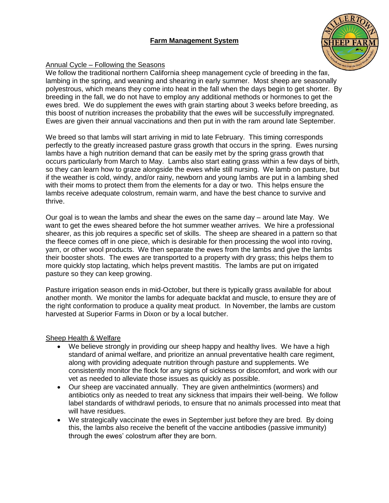# **Farm Management System**



## Annual Cycle – Following the Seasons

We follow the traditional northern California sheep management cycle of breeding in the fall, lambing in the spring, and weaning and shearing in early summer. Most sheep are seasonally polyestrous, which means they come into heat in the fall when the days begin to get shorter. By breeding in the fall, we do not have to employ any additional methods or hormones to get the ewes bred. We do supplement the ewes with grain starting about 3 weeks before breeding, as this boost of nutrition increases the probability that the ewes will be successfully impregnated. Ewes are given their annual vaccinations and then put in with the ram around late September.

We breed so that lambs will start arriving in mid to late February. This timing corresponds perfectly to the greatly increased pasture grass growth that occurs in the spring. Ewes nursing lambs have a high nutrition demand that can be easily met by the spring grass growth that occurs particularly from March to May. Lambs also start eating grass within a few days of birth, so they can learn how to graze alongside the ewes while still nursing. We lamb on pasture, but if the weather is cold, windy, and/or rainy, newborn and young lambs are put in a lambing shed with their moms to protect them from the elements for a day or two. This helps ensure the lambs receive adequate colostrum, remain warm, and have the best chance to survive and thrive.

Our goal is to wean the lambs and shear the ewes on the same day – around late May. We want to get the ewes sheared before the hot summer weather arrives. We hire a professional shearer, as this job requires a specific set of skills. The sheep are sheared in a pattern so that the fleece comes off in one piece, which is desirable for then processing the wool into roving, yarn, or other wool products. We then separate the ewes from the lambs and give the lambs their booster shots. The ewes are transported to a property with dry grass; this helps them to more quickly stop lactating, which helps prevent mastitis. The lambs are put on irrigated pasture so they can keep growing.

Pasture irrigation season ends in mid-October, but there is typically grass available for about another month. We monitor the lambs for adequate backfat and muscle, to ensure they are of the right conformation to produce a quality meat product. In November, the lambs are custom harvested at Superior Farms in Dixon or by a local butcher.

## Sheep Health & Welfare

- We believe strongly in providing our sheep happy and healthy lives. We have a high standard of animal welfare, and prioritize an annual preventative health care regiment, along with providing adequate nutrition through pasture and supplements. We consistently monitor the flock for any signs of sickness or discomfort, and work with our vet as needed to alleviate those issues as quickly as possible.
- Our sheep are vaccinated annually. They are given anthelmintics (wormers) and antibiotics only as needed to treat any sickness that impairs their well-being. We follow label standards of withdrawl periods, to ensure that no animals processed into meat that will have residues.
- We strategically vaccinate the ewes in September just before they are bred. By doing this, the lambs also receive the benefit of the vaccine antibodies (passive immunity) through the ewes' colostrum after they are born.